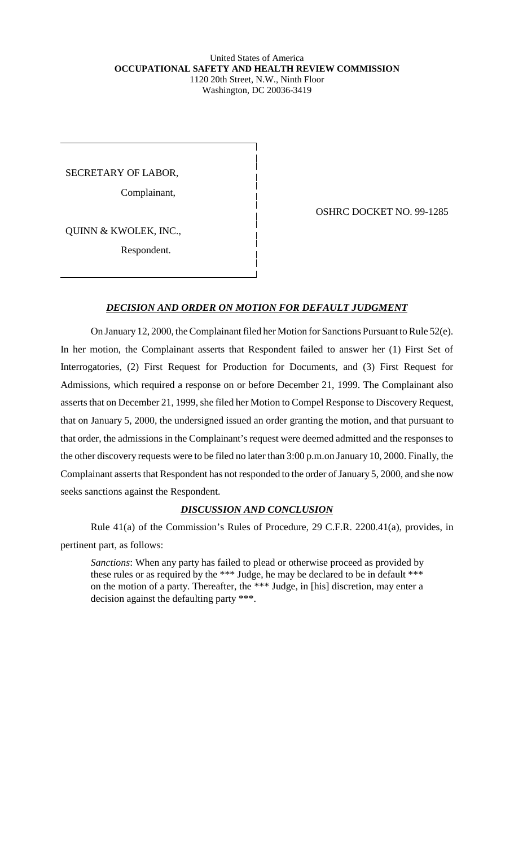## United States of America **OCCUPATIONAL SAFETY AND HEALTH REVIEW COMMISSION** 1120 20th Street, N.W., Ninth Floor Washington, DC 20036-3419

SECRETARY OF LABOR,

Complainant,

QUINN & KWOLEK, INC.,

Respondent.

OSHRC DOCKET NO. 99-1285

## *DECISION AND ORDER ON MOTION FOR DEFAULT JUDGMENT*

On January 12, 2000, the Complainant filed her Motion for Sanctions Pursuant to Rule 52(e). In her motion, the Complainant asserts that Respondent failed to answer her (1) First Set of Interrogatories, (2) First Request for Production for Documents, and (3) First Request for Admissions, which required a response on or before December 21, 1999. The Complainant also asserts that on December 21, 1999, she filed her Motion to Compel Response to Discovery Request, that on January 5, 2000, the undersigned issued an order granting the motion, and that pursuant to that order, the admissions in the Complainant's request were deemed admitted and the responses to the other discovery requests were to be filed no later than 3:00 p.m.on January 10, 2000. Finally, the Complainant asserts that Respondent has not responded to the order of January 5, 2000, and she now seeks sanctions against the Respondent.

## *DISCUSSION AND CONCLUSION*

Rule 41(a) of the Commission's Rules of Procedure, 29 C.F.R. 2200.41(a), provides, in pertinent part, as follows:

*Sanctions*: When any party has failed to plead or otherwise proceed as provided by these rules or as required by the \*\*\* Judge, he may be declared to be in default \*\*\* on the motion of a party. Thereafter, the \*\*\* Judge, in [his] discretion, may enter a decision against the defaulting party \*\*\*.